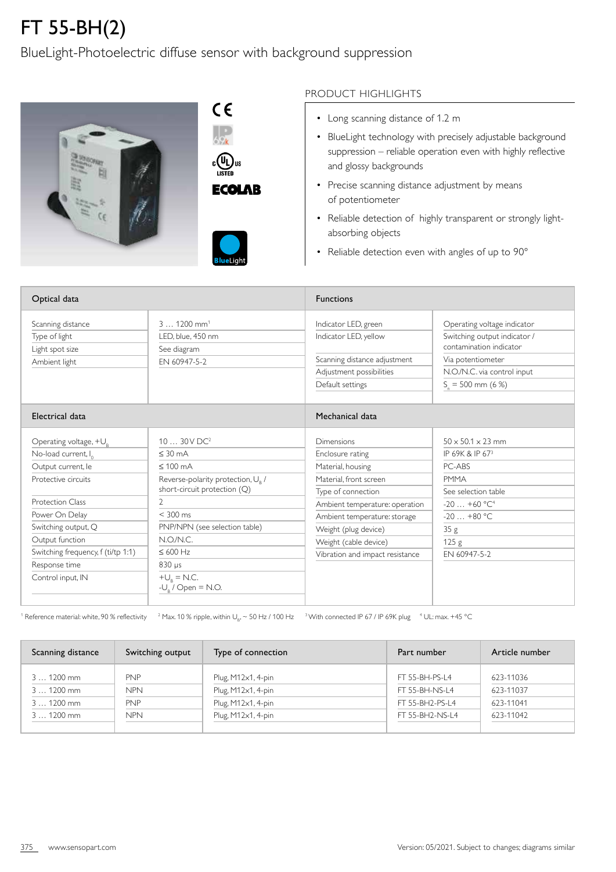## FT 55-BH(2)

## BlueLight-Photoelectric diffuse sensor with background suppression





## PRODUCT HIGHLIGHTS

- Long scanning distance of 1.2 m
- BlueLight technology with precisely adjustable background suppression – reliable operation even with highly reflective and glossy backgrounds
- Precise scanning distance adjustment by means of potentiometer
- Reliable detection of highly transparent or strongly lightabsorbing objects
- Reliable detection even with angles of up to 90°

| Optical data                                                                                                                                                                                                                                              |                                                                                                                                                                                                                                                                                       | <b>Functions</b>                                                                                                                                                                                                                                          |                                                                                                                                                                             |  |
|-----------------------------------------------------------------------------------------------------------------------------------------------------------------------------------------------------------------------------------------------------------|---------------------------------------------------------------------------------------------------------------------------------------------------------------------------------------------------------------------------------------------------------------------------------------|-----------------------------------------------------------------------------------------------------------------------------------------------------------------------------------------------------------------------------------------------------------|-----------------------------------------------------------------------------------------------------------------------------------------------------------------------------|--|
| Scanning distance<br>Type of light<br>Light spot size<br>Ambient light                                                                                                                                                                                    | $31200$ mm <sup>1</sup><br>LED, blue, 450 nm<br>See diagram<br>EN 60947-5-2                                                                                                                                                                                                           | Indicator LED, green<br>Indicator LED, yellow<br>Scanning distance adjustment<br>Adjustment possibilities<br>Default settings                                                                                                                             | Operating voltage indicator<br>Switching output indicator /<br>contamination indicator<br>Via potentiometer<br>N.O./N.C. via control input<br>$S_n = 500$ mm (6 %)          |  |
| Electrical data                                                                                                                                                                                                                                           |                                                                                                                                                                                                                                                                                       | Mechanical data                                                                                                                                                                                                                                           |                                                                                                                                                                             |  |
| Operating voltage, $+U_R$<br>No-load current, Io<br>Output current, le<br>Protective circuits<br>Protection Class<br>Power On Delay<br>Switching output, Q<br>Output function<br>Switching frequency, f (ti/tp 1:1)<br>Response time<br>Control input, IN | $1030V$ DC <sup>2</sup><br>$\leq$ 30 mA<br>$\leq 100$ mA<br>Reverse-polarity protection, U <sub>R</sub> /<br>short-circuit protection (Q)<br>2<br>$< 300$ ms<br>PNP/NPN (see selection table)<br>N.O/N.C.<br>$\leq 600$ Hz<br>830 µs<br>$+U_{\rm R}$ = N.C.<br>$-U_{0}$ / Open = N.O. | Dimensions<br>Enclosure rating<br>Material, housing<br>Material, front screen<br>Type of connection<br>Ambient temperature: operation<br>Ambient temperature: storage<br>Weight (plug device)<br>Weight (cable device)<br>Vibration and impact resistance | $50 \times 50.1 \times 23$ mm<br>IP 69K & IP 673<br>PC-ABS<br><b>PMMA</b><br>See selection table<br>$-20+60 °C^4$<br>$-20+80 °C$<br>35g<br>125 <sub>g</sub><br>EN 60947-5-2 |  |

 $^{\rm 1}$  Reference material: white, 90 % reflectivity  $^{-2}$  Max. 10 % ripple, within U<sub>B</sub>,  $\sim$  50 Hz / 100 Hz  $^{-3}$  With connected IP 67 / IP 69K plug  $^{-4}$  UL: max. +45 °C

| Scanning distance | Switching output | Type of connection | Part number     | Article number |
|-------------------|------------------|--------------------|-----------------|----------------|
| $31200$ mm        | <b>PNP</b>       | Plug, M12x1, 4-pin | FT 55-BH-PS-L4  | 623-11036      |
| 3  1200 mm        | <b>NPN</b>       | Plug, M12x1, 4-pin | FT 55-BH-NS-L4  | 623-11037      |
| $31200$ mm        | <b>PNP</b>       | Plug, M12x1, 4-pin | FT 55-BH2-PS-L4 | 623-11041      |
| $31200$ mm        | <b>NPN</b>       | Plug, M12x1, 4-pin | FT 55-BH2-NS-L4 | 623-11042      |
|                   |                  |                    |                 |                |